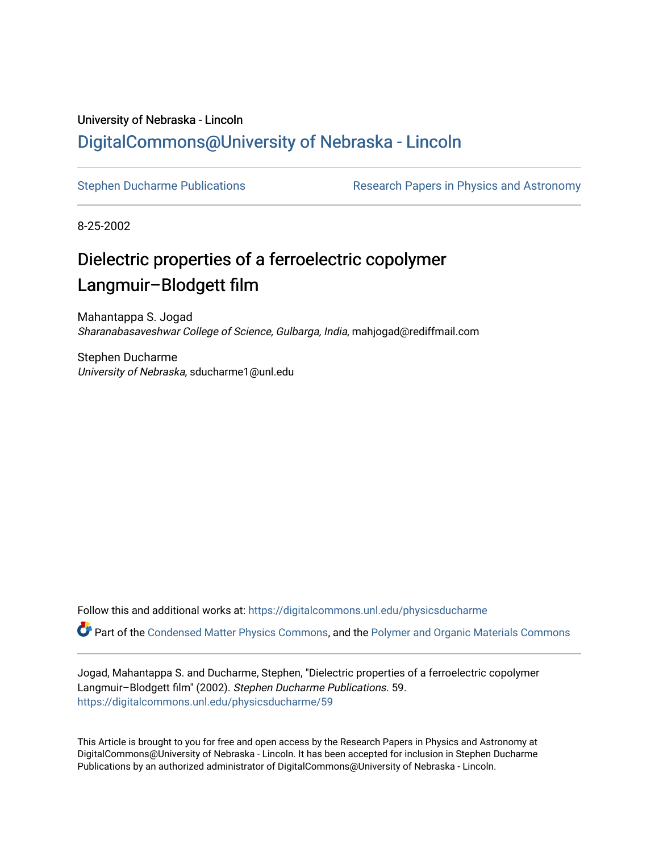## University of Nebraska - Lincoln [DigitalCommons@University of Nebraska - Lincoln](https://digitalcommons.unl.edu/)

[Stephen Ducharme Publications](https://digitalcommons.unl.edu/physicsducharme) Research Papers in Physics and Astronomy

8-25-2002

# Dielectric properties of a ferroelectric copolymer Langmuir–Blodgett film

Mahantappa S. Jogad Sharanabasaveshwar College of Science, Gulbarga, India, mahjogad@rediffmail.com

Stephen Ducharme University of Nebraska, sducharme1@unl.edu

Follow this and additional works at: [https://digitalcommons.unl.edu/physicsducharme](https://digitalcommons.unl.edu/physicsducharme?utm_source=digitalcommons.unl.edu%2Fphysicsducharme%2F59&utm_medium=PDF&utm_campaign=PDFCoverPages)

Part of the [Condensed Matter Physics Commons,](http://network.bepress.com/hgg/discipline/197?utm_source=digitalcommons.unl.edu%2Fphysicsducharme%2F59&utm_medium=PDF&utm_campaign=PDFCoverPages) and the [Polymer and Organic Materials Commons](http://network.bepress.com/hgg/discipline/289?utm_source=digitalcommons.unl.edu%2Fphysicsducharme%2F59&utm_medium=PDF&utm_campaign=PDFCoverPages)

Jogad, Mahantappa S. and Ducharme, Stephen, "Dielectric properties of a ferroelectric copolymer Langmuir–Blodgett film" (2002). Stephen Ducharme Publications. 59. [https://digitalcommons.unl.edu/physicsducharme/59](https://digitalcommons.unl.edu/physicsducharme/59?utm_source=digitalcommons.unl.edu%2Fphysicsducharme%2F59&utm_medium=PDF&utm_campaign=PDFCoverPages) 

This Article is brought to you for free and open access by the Research Papers in Physics and Astronomy at DigitalCommons@University of Nebraska - Lincoln. It has been accepted for inclusion in Stephen Ducharme Publications by an authorized administrator of DigitalCommons@University of Nebraska - Lincoln.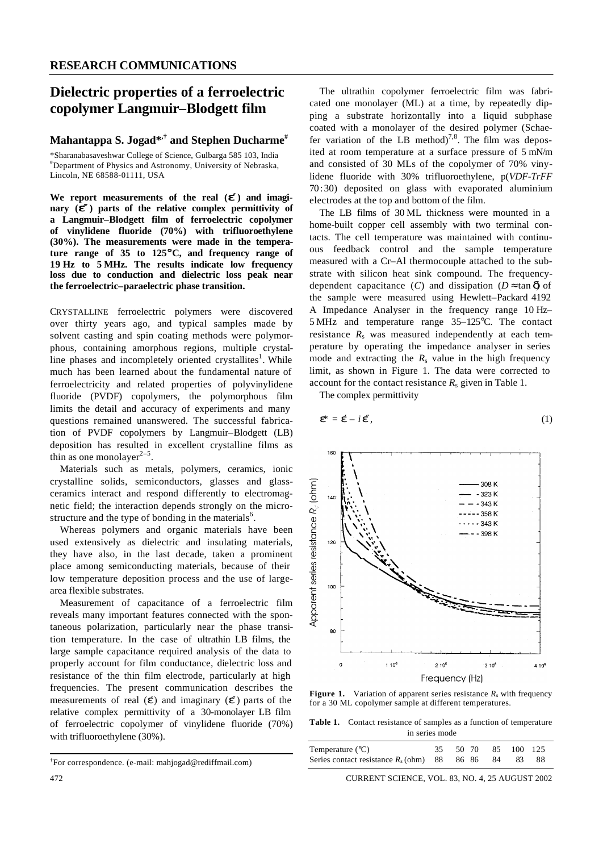### **Dielectric properties of a ferroelectric copolymer Langmuir–Blodgett film**

#### **Mahantappa S. Jogad\*,† and Stephen Ducharme#**

\*Sharanabasaveshwar College of Science, Gulbarga 585 103, India #Department of Physics and Astronomy, University of Nebraska, Lincoln, NE 68588-01111, USA

We report measurements of the real  $(e^e)$  and imagi**nary** ( $e^x$ ) parts of the relative complex permittivity of **a Langmuir–Blodgett film of ferroelectric copolymer of vinylidene fluoride (70%) with trifluoroethylene (30%). The measurements were made in the temperature range of 35 to 125**°**C, and frequency range of 19 Hz to 5 MHz. The results indicate low frequency loss due to conduction and dielectric loss peak near the ferroelectric–paraelectric phase transition.**

CRYSTALLINE ferroelectric polymers were discovered over thirty years ago, and typical samples made by solvent casting and spin coating methods were polymorphous, containing amorphous regions, multiple crystalline phases and incompletely oriented crystallites<sup>1</sup>. While much has been learned about the fundamental nature of ferroelectricity and related properties of polyvinylidene fluoride (PVDF) copolymers, the polymorphous film limits the detail and accuracy of experiments and many questions remained unanswered. The successful fabrication of PVDF copolymers by Langmuir–Blodgett (LB) deposition has resulted in excellent crystalline films as thin as one monolayer $2-5$ .

Materials such as metals, polymers, ceramics, ionic crystalline solids, semiconductors, glasses and glassceramics interact and respond differently to electromagnetic field; the interaction depends strongly on the microstructure and the type of bonding in the materials<sup>6</sup>.

Whereas polymers and organic materials have been used extensively as dielectric and insulating materials, they have also, in the last decade, taken a prominent place among semiconducting materials, because of their low temperature deposition process and the use of largearea flexible substrates.

Measurement of capacitance of a ferroelectric film reveals many important features connected with the spontaneous polarization, particularly near the phase transition temperature. In the case of ultrathin LB films, the large sample capacitance required analysis of the data to properly account for film conductance, dielectric loss and resistance of the thin film electrode, particularly at high frequencies. The present communication describes the measurements of real  $(\triangle)$  and imaginary  $(\triangle)$  parts of the relative complex permittivity of a 30-monolayer LB film of ferroelectric copolymer of vinylidene fluoride (70%) with trifluoroethylene (30%).

The ultrathin copolymer ferroelectric film was fabricated one monolayer (ML) at a time, by repeatedly dipping a substrate horizontally into a liquid subphase coated with a monolayer of the desired polymer (Schaefer variation of the LB method)<sup>7,8</sup>. The film was deposited at room temperature at a surface pressure of 5 mN/m and consisted of 30 MLs of the copolymer of 70% vinylidene fluoride with 30% trifluoroethylene, p(*VDF-TrFF* 70:30) deposited on glass with evaporated aluminium electrodes at the top and bottom of the film.

The LB films of 30 ML thickness were mounted in a home-built copper cell assembly with two terminal contacts. The cell temperature was maintained with continuous feedback control and the sample temperature measured with a Cr–Al thermocouple attached to the substrate with silicon heat sink compound. The frequencydependent capacitance (*C*) and dissipation ( $D \approx \tan \phi$ ) of the sample were measured using Hewlett–Packard 4192 A Impedance Analyser in the frequency range 10 Hz– 5 MHz and temperature range 35–125°C. The contact resistance  $R_s$  was measured independently at each temperature by operating the impedance analyser in series mode and extracting the  $R_s$  value in the high frequency limit, as shown in Figure 1. The data were corrected to account for the contact resistance *R*<sup>s</sup> given in Table 1.

The complex permittivity

$$
\dot{\mathbf{e}} = \dot{\mathbf{e}} - i \, \dot{\mathbf{e}}, \tag{1}
$$



**Figure 1.** Variation of apparent series resistance  $R_s$  with frequency for a 30 ML copolymer sample at different temperatures.

**Table 1.** Contact resistance of samples as a function of temperature in series mode

| Temperature $(^{\circ}C)$                            | 35 50 70 85 100 125 |  |     |
|------------------------------------------------------|---------------------|--|-----|
| Series contact resistance $R_s$ (ohm) 88 86 86 84 83 |                     |  | -88 |

472 CURRENT SCIENCE, VOL. 83, NO. 4, 25 AUGUST 2002

<sup>†</sup> For correspondence. (e-mail: mahjogad@rediffmail.com)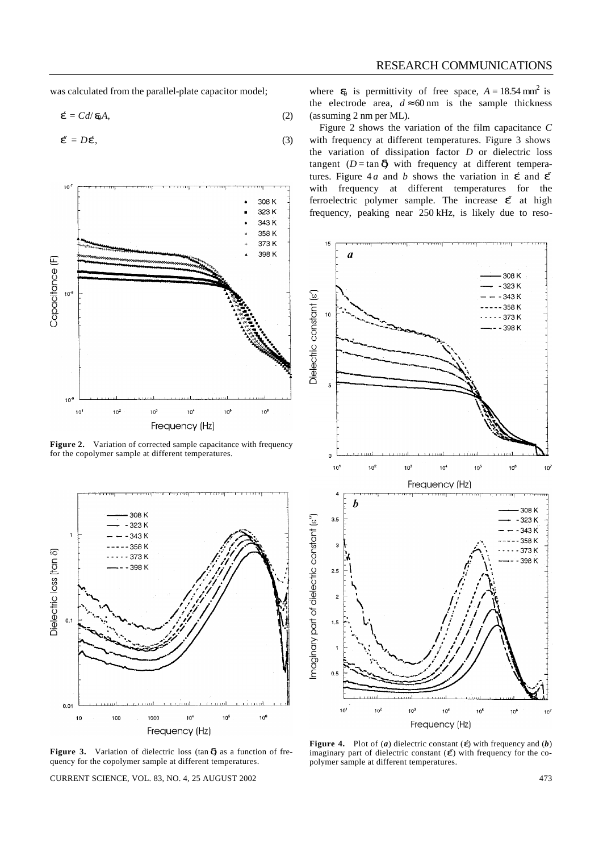was calculated from the parallel-plate capacitor model;

$$
\dot{\bullet} = C d / \, \phi A,\tag{2}
$$

$$
\mathbf{\mathbf{\mathbf{\mathcal{E}}}} = D\mathbf{\mathbf{\mathbf{\mathcal{E}}}},\tag{3}
$$



Figure 2. Variation of corrected sample capacitance with frequency for the copolymer sample at different temperatures.



Figure 3. Variation of dielectric loss (tan  $\vec{d}$ ) as a function of frequency for the copolymer sample at different temperatures.

CURRENT SCIENCE, VOL. 83, NO. 4, 25 AUGUST 2002 473

where  $\bullet$  is permittivity of free space,  $A = 18.54 \text{ mm}^2$  is the electrode area,  $d \approx 60$  nm is the sample thickness (assuming 2 nm per ML).

Figure 2 shows the variation of the film capacitance *C* with frequency at different temperatures. Figure 3 shows the variation of dissipation factor *D* or dielectric loss tangent ( $D = \tan \phi$ ) with frequency at different temperatures. Figure 4*a* and *b* shows the variation in  $\phi$  and  $\phi$ with frequency at different temperatures for the ferroelectric polymer sample. The increase  $\mathbf{\mathcal{L}}$  at high frequency, peaking near 250 kHz, is likely due to reso-



**Figure 4.** Plot of (*a*) dielectric constant ( $\hat{\mathbf{\Theta}}$  with frequency and (*b*) imaginary part of dielectric constant ( $\triangle$ ) with frequency for the copolymer sample at different temperatures.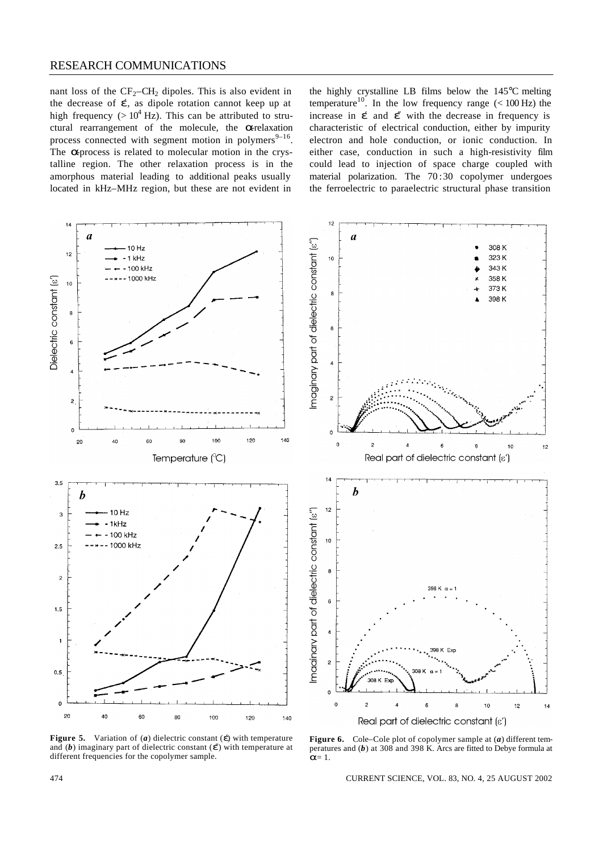#### RESEARCH COMMUNICATIONS

nant loss of the  $CF_2-CH_2$  dipoles. This is also evident in the decrease of  $\spadesuit$ , as dipole rotation cannot keep up at high frequency ( $> 10^4$  Hz). This can be attributed to structural rearrangement of the molecule, the *a*-relaxation process connected with segment motion in polymers $9-16$ . The **a**-process is related to molecular motion in the crystalline region. The other relaxation process is in the amorphous material leading to additional peaks usually located in kHz–MHz region, but these are not evident in

the highly crystalline LB films below the 145°C melting temperature<sup>10</sup>. In the low frequency range  $(< 100$  Hz) the increase in  $\phi$  and  $\phi$  with the decrease in frequency is characteristic of electrical conduction, either by impurity electron and hole conduction, or ionic conduction. In either case, conduction in such a high-resistivity film could lead to injection of space charge coupled with material polarization. The 70 :30 copolymer undergoes the ferroelectric to paraelectric structural phase transition





**Figure 5.** Variation of (*a*) dielectric constant (*e*) with temperature and (*b*) imaginary part of dielectric constant ( $\triangle$ ) with temperature at different frequencies for the copolymer sample.

**Figure 6.** Cole–Cole plot of copolymer sample at (*a*) different temperatures and (*b*) at 308 and 398 K. Arcs are fitted to Debye formula at *a*= 1.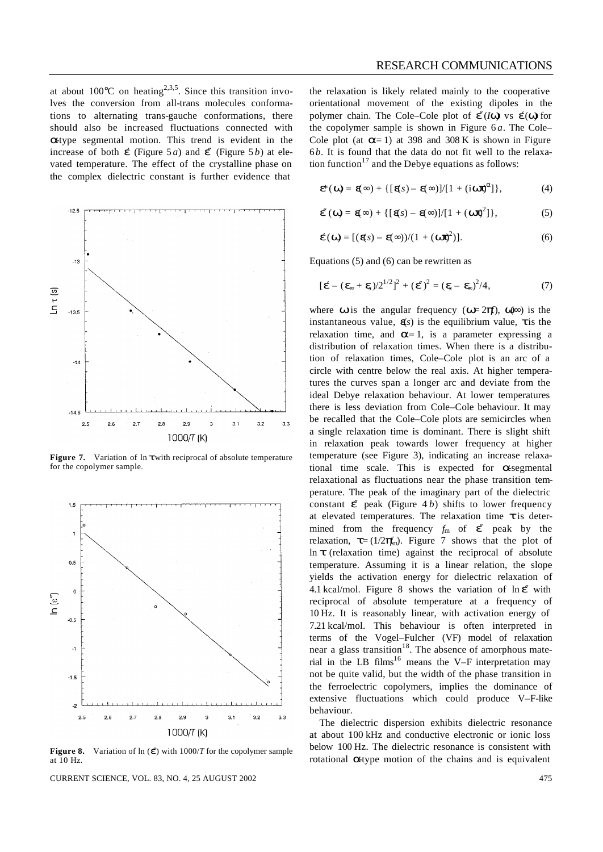at about  $100^{\circ}$ C on heating<sup>2,3,5</sup>. Since this transition involves the conversion from all-trans molecules conformations to alternating trans-gauche conformations, there should also be increased fluctuations connected with **a**-type segmental motion. This trend is evident in the increase of both  $\triangle$  (Figure 5*a*) and  $\triangle$  (Figure 5*b*) at elevated temperature. The effect of the crystalline phase on the complex dielectric constant is further evidence that



**Figure 7.** Variation of ln *t* with reciprocal of absolute temperature for the copolymer sample.



**Figure 8.** Variation of  $\ln$  ( $\triangle$ ) with 1000/*T* for the copolymer sample at 10 Hz.

CURRENT SCIENCE, VOL. 83, NO. 4, 25 AUGUST 2002 475

the relaxation is likely related mainly to the cooperative orientational movement of the existing dipoles in the polymer chain. The Cole–Cole plot of  $\mathcal{L}(I\mathbf{w})$  vs  $\mathcal{L}(\mathbf{w})$  for the copolymer sample is shown in Figure  $6a$ . The Cole– Cole plot (at  $a=1$ ) at 398 and 308 K is shown in Figure 6*b*. It is found that the data do not fit well to the relaxation function<sup>17</sup> and the Debye equations as follows:

$$
\mathbf{\mathfrak{E}}(\mathbf{W}) = \mathbf{\mathfrak{E}}\infty) + \{ [\mathbf{\mathfrak{E}}s) - \mathbf{\mathfrak{E}}\infty\} / [1 + (\mathbf{i} \mathbf{W}\mathbf{\mathfrak{E}})^{\mathbf{a}}] \},
$$
(4)

$$
\mathbf{\mathscr{E}}(\mathbf{w}) = \mathbf{\mathscr{E}}_{\infty} + \{ [\mathbf{\mathscr{E}}_{\mathcal{S}}) - \mathbf{\mathscr{E}}_{\infty}\} / [1 + (\mathbf{w}\mathbf{\mathscr{E}})^2] \},
$$
 (5)

$$
\mathbf{\acute{e}}(\mathbf{W}) = [(\mathbf{\acute{e}s}) - \mathbf{\acute{e}}\infty)/(1 + (\mathbf{W}\mathbf{\acute{e}})^2)].
$$
 (6)

Equations (5) and (6) can be rewritten as

$$
[\dot{\mathbf{e}} - (\mathbf{e}_s + \mathbf{e})/2^{1/2}]^2 + (\mathbf{e})^2 = (\mathbf{e}_s - \mathbf{e})^2/4,
$$
 (7)

where **w** is the angular frequency ( $w=2p$ *f*),  $w \approx 2p$  is the instantaneous value,  $\triangleleft$  is the equilibrium value, **t** is the relaxation time, and  $\mathbf{a} = 1$ , is a parameter expressing a distribution of relaxation times. When there is a distribution of relaxation times, Cole–Cole plot is an arc of a circle with centre below the real axis. At higher temperatures the curves span a longer arc and deviate from the ideal Debye relaxation behaviour. At lower temperatures there is less deviation from Cole–Cole behaviour. It may be recalled that the Cole–Cole plots are semicircles when a single relaxation time is dominant. There is slight shift in relaxation peak towards lower frequency at higher temperature (see Figure 3), indicating an increase relaxational time scale. This is expected for *a*-segmental relaxational as fluctuations near the phase transition temperature. The peak of the imaginary part of the dielectric constant  $\mathbf{\mathcal{L}}$  peak (Figure 4 *b*) shifts to lower frequency at elevated temperatures. The relaxation time *t* is determined from the frequency  $f_m$  of  $\mathbf{\mathscr{E}}$  peak by the relaxation,  $\mathbf{t} = (1/2\mathbf{p}_0^2)$ . Figure 7 shows that the plot of ln *t* (relaxation time) against the reciprocal of absolute temperature. Assuming it is a linear relation, the slope yields the activation energy for dielectric relaxation of 4.1 kcal/mol. Figure 8 shows the variation of ln *e*″ with reciprocal of absolute temperature at a frequency of 10 Hz. It is reasonably linear, with activation energy of 7.21 kcal/mol. This behaviour is often interpreted in terms of the Vogel–Fulcher (VF) model of relaxation near a glass transition<sup>18</sup>. The absence of amorphous material in the LB films<sup>16</sup> means the V–F interpretation may not be quite valid, but the width of the phase transition in the ferroelectric copolymers, implies the dominance of extensive fluctuations which could produce V–F-like behaviour.

The dielectric dispersion exhibits dielectric resonance at about 100 kHz and conductive electronic or ionic loss below 100 Hz. The dielectric resonance is consistent with rotational **a**-type motion of the chains and is equivalent